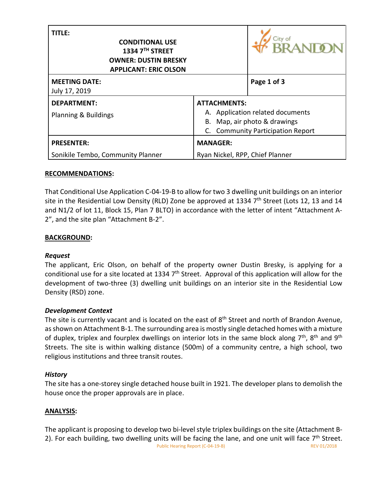| <b>TITLE:</b><br><b>CONDITIONAL USE</b><br>1334 7TH STREET<br><b>OWNER: DUSTIN BRESKY</b><br><b>APPLICANT: ERIC OLSON</b> |                                                                                                                                        | <b>RANTO</b> |
|---------------------------------------------------------------------------------------------------------------------------|----------------------------------------------------------------------------------------------------------------------------------------|--------------|
| <b>MEETING DATE:</b><br>July 17, 2019                                                                                     |                                                                                                                                        | Page 1 of 3  |
| <b>DEPARTMENT:</b><br>Planning & Buildings                                                                                | <b>ATTACHMENTS:</b><br>A. Application related documents<br>B. Map, air photo & drawings<br><b>Community Participation Report</b><br>C. |              |
| <b>PRESENTER:</b>                                                                                                         | <b>MANAGER:</b>                                                                                                                        |              |
| Sonikile Tembo, Community Planner                                                                                         | Ryan Nickel, RPP, Chief Planner                                                                                                        |              |

### **RECOMMENDATIONS:**

That Conditional Use Application C-04-19-B to allow for two 3 dwelling unit buildings on an interior site in the Residential Low Density (RLD) Zone be approved at 1334 7<sup>th</sup> Street (Lots 12, 13 and 14 and N1/2 of lot 11, Block 15, Plan 7 BLTO) in accordance with the letter of intent "Attachment A-2", and the site plan "Attachment B-2".

### **BACKGROUND:**

#### *Request*

The applicant, Eric Olson, on behalf of the property owner Dustin Bresky, is applying for a conditional use for a site located at 1334 7<sup>th</sup> Street. Approval of this application will allow for the development of two-three (3) dwelling unit buildings on an interior site in the Residential Low Density (RSD) zone.

## *Development Context*

The site is currently vacant and is located on the east of 8<sup>th</sup> Street and north of Brandon Avenue, as shown on Attachment B-1. The surrounding area is mostly single detached homes with a mixture of duplex, triplex and fourplex dwellings on interior lots in the same block along  $7<sup>th</sup>$ , 8<sup>th</sup> and 9<sup>th</sup> Streets. The site is within walking distance (500m) of a community centre, a high school, two religious institutions and three transit routes.

#### *History*

The site has a one-storey single detached house built in 1921. The developer plans to demolish the house once the proper approvals are in place.

## **ANALYSIS:**

Public Hearing Report (C-04-19-B) REV 01/2018 The applicant is proposing to develop two bi-level style triplex buildings on the site (Attachment B-2). For each building, two dwelling units will be facing the lane, and one unit will face  $7<sup>th</sup>$  Street.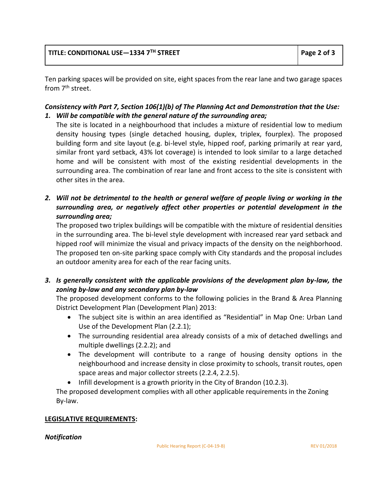Ten parking spaces will be provided on site, eight spaces from the rear lane and two garage spaces from 7<sup>th</sup> street.

# *Consistency with Part 7, Section 106(1)(b) of The Planning Act and Demonstration that the Use: 1. Will be compatible with the general nature of the surrounding area;*

The site is located in a neighbourhood that includes a mixture of residential low to medium density housing types (single detached housing, duplex, triplex, fourplex). The proposed building form and site layout (e.g. bi-level style, hipped roof, parking primarily at rear yard, similar front yard setback, 43% lot coverage) is intended to look similar to a large detached home and will be consistent with most of the existing residential developments in the surrounding area. The combination of rear lane and front access to the site is consistent with other sites in the area.

*2. Will not be detrimental to the health or general welfare of people living or working in the surrounding area, or negatively affect other properties or potential development in the surrounding area;*

The proposed two triplex buildings will be compatible with the mixture of residential densities in the surrounding area. The bi-level style development with increased rear yard setback and hipped roof will minimize the visual and privacy impacts of the density on the neighborhood. The proposed ten on-site parking space comply with City standards and the proposal includes an outdoor amenity area for each of the rear facing units.

*3. Is generally consistent with the applicable provisions of the development plan by-law, the zoning by-law and any secondary plan by-law*

The proposed development conforms to the following policies in the Brand & Area Planning District Development Plan (Development Plan) 2013:

- The subject site is within an area identified as "Residential" in Map One: Urban Land Use of the Development Plan (2.2.1);
- The surrounding residential area already consists of a mix of detached dwellings and multiple dwellings (2.2.2); and
- The development will contribute to a range of housing density options in the neighbourhood and increase density in close proximity to schools, transit routes, open space areas and major collector streets (2.2.4, 2.2.5).
- $\bullet$  Infill development is a growth priority in the City of Brandon (10.2.3).

The proposed development complies with all other applicable requirements in the Zoning By‐law.

## **LEGISLATIVE REQUIREMENTS:**

#### *Notification*